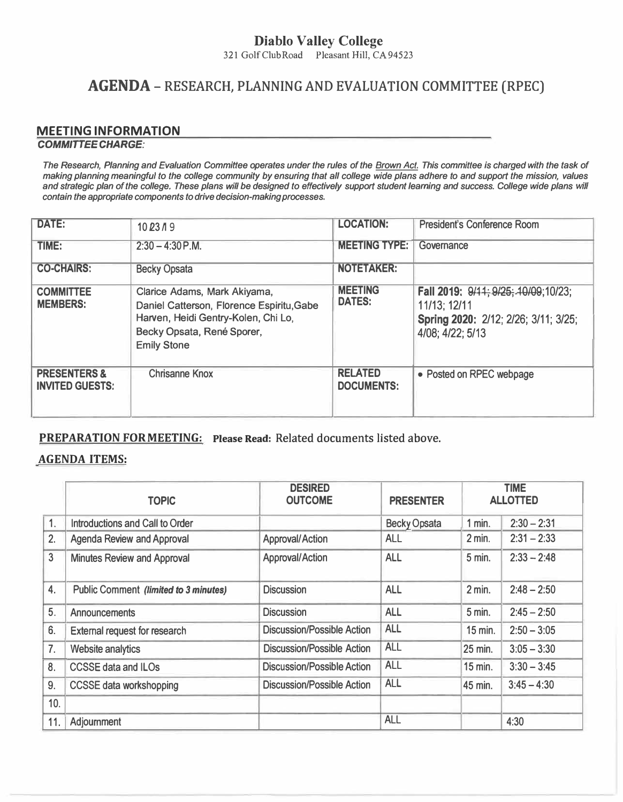# **Diablo Valley College**

321 Golf Club Road Pleasant Hill, CA 94523

# **AGENDA-** RESEARCH, PLANNING AND EVALUATION COMMITTEE (RPEC)

## **MEETING INFORMATION**

## *COMMITTEE CHARGE:*

*The Research, Planning and Evaluation Committee operates under the rules of the Brown Act. This committee is charged with the task of making planning meaningful to the college community by ensuring that all college wide plans adhere to and support the mission, values and strategic plan of the college. These plans will be designed to effectively support student learning and success. College wide plans will contain the appropriate components to drive decision-making processes.* 

| <b>DATE:</b>                                      | $10$ $23$ $1$ $9$                                                                                                                                                    | <b>LOCATION:</b>                    | <b>President's Conference Room</b>                                                                                     |
|---------------------------------------------------|----------------------------------------------------------------------------------------------------------------------------------------------------------------------|-------------------------------------|------------------------------------------------------------------------------------------------------------------------|
| TIME:                                             | $2:30 - 4:30$ P.M.                                                                                                                                                   | <b>MEETING TYPE:</b>                | Governance                                                                                                             |
| <b>CO-CHAIRS:</b>                                 | <b>Becky Opsata</b>                                                                                                                                                  | <b>NOTETAKER:</b>                   |                                                                                                                        |
| <b>COMMITTEE</b><br><b>MEMBERS:</b>               | Clarice Adams, Mark Akiyama,<br>Daniel Catterson, Florence Espiritu, Gabe<br>Harven, Heidi Gentry-Kolen, Chi Lo,<br>Becky Opsata, René Sporer,<br><b>Emily Stone</b> | <b>MEETING</b><br><b>DATES:</b>     | Fall 2019: 9/11: 9/25: 10/09:10/23:<br>11/13; 12/11<br><b>Spring 2020: 2/12: 2/26: 3/11: 3/25:</b><br>4/08; 4/22; 5/13 |
| <b>PRESENTERS &amp;</b><br><b>INVITED GUESTS:</b> | <b>Chrisanne Knox</b>                                                                                                                                                | <b>RELATED</b><br><b>DOCUMENTS:</b> | • Posted on RPEC webpage                                                                                               |

PREPARATION FOR MEETING: **Please Read:** Related documents listed above.

## AGENDA ITEMS:

|                | <b>TOPIC</b>                                 | <b>DESIRED</b><br><b>OUTCOME</b>  | <b>PRESENTER</b>    |          | <b>TIME</b><br><b>ALLOTTED</b> |
|----------------|----------------------------------------------|-----------------------------------|---------------------|----------|--------------------------------|
| $\mathbf{1}$ . | Introductions and Call to Order              |                                   | <b>Becky Opsata</b> | $1$ min. | $2:30 - 2:31$                  |
| 2.             | <b>Agenda Review and Approval</b>            | <b>Approval/Action</b>            | <b>ALL</b>          | $2$ min. | $2:31 - 2:33$                  |
| 3              | <b>Minutes Review and Approval</b>           | <b>Approval/Action</b>            | <b>ALL</b>          | 5 min.   | $2:33 - 2:48$                  |
| 4.             | <b>Public Comment (limited to 3 minutes)</b> | <b>Discussion</b>                 | <b>ALL</b>          | $2$ min. | $2:48 - 2:50$                  |
| 5.             | Announcements                                | <b>Discussion</b>                 | <b>ALL</b>          | $5$ min. | $2:45 - 2:50$                  |
| 6.             | External request for research                | <b>Discussion/Possible Action</b> | <b>ALL</b>          | 15 min.  | $2:50 - 3:05$                  |
| 7.             | <b>Website analytics</b>                     | <b>Discussion/Possible Action</b> | <b>ALL</b>          | 25 min.  | $3:05 - 3:30$                  |
| 8.             | <b>CCSSE data and ILOs</b>                   | <b>Discussion/Possible Action</b> | <b>ALL</b>          | 15 min.  | $3:30 - 3:45$                  |
| 9.             | <b>CCSSE data workshopping</b>               | <b>Discussion/Possible Action</b> | <b>ALL</b>          | 45 min.  | $3:45 - 4:30$                  |
| 10.            |                                              |                                   |                     |          |                                |
| 11.            | Adjournment                                  |                                   | <b>ALL</b>          |          | 4:30                           |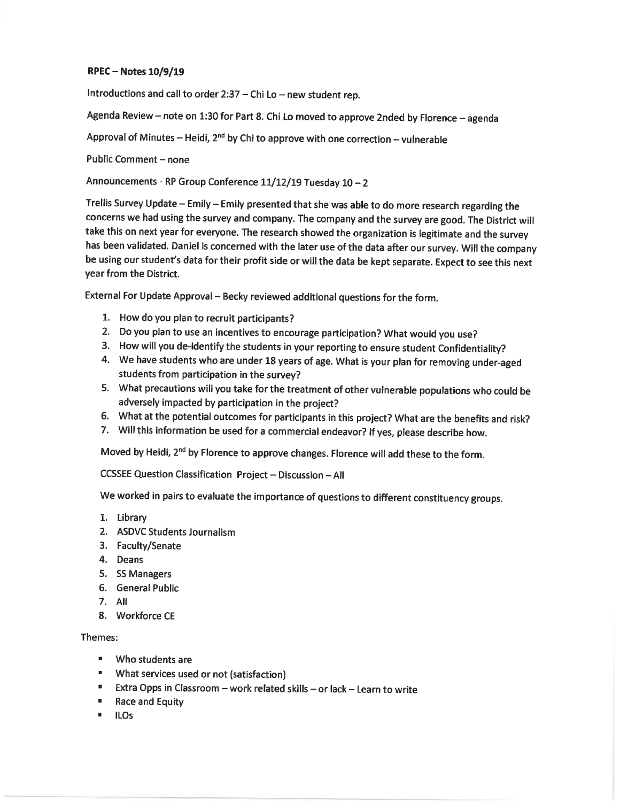#### **RPEC-Notes 10/9/19**

Introductions and call to order 2:37 - Chi Lo - new student rep.

Agenda Review - note on 1:30 for Part 8. Chi Lo moved to approve 2nded by Florence - agenda

Approval of Minutes - Heidi,  $2^{nd}$  by Chi to approve with one correction - vulnerable

**Public Comment - none** 

Announcements - RP Group Conference  $11/12/19$  Tuesday  $10 - 2$ 

Trellis Survey Update - Emily - Emily presented that she was able to do more research regarding the concerns we had using the survey and company. The company and the survey are good. The District will take this on next year for everyone. The research showed the organization is legitimate and the survey has been validated. Daniel is concerned with the later use of the data after our survey. Will the company be using our student's data for their profit side or will the data be kept separate. Expect to see this next year from the District.

External For Update Approval - Becky reviewed additional questions for the form.

- 1. How do you plan to recruit participants?
- 2. Do you plan to use an incentives to encourage participation? What would you use?
- 3. How will you de-identify the students in your reporting to ensure student Confidentiality?
- 4. We have students who are under 18 years of age. What is your plan for removing under-aged students from participation in the survey?
- 5. What precautions will you take for the treatment of other vulnerable populations who could be adversely impacted by participation in the project?
- 6. What at the potential outcomes for participants in this project? What are the benefits and risk?
- 7. Will this information be used for a commercial endeavor? If yes, please describe how.

Moved by Heidi, 2<sup>nd</sup> by Florence to approve changes. Florence will add these to the form.

CCSSEE Question Classification Project - Discussion - All

We worked in pairs to evaluate the importance of questions to different constituency groups.

- 1. Library
- 2. ASDVC Students Journalism
- 3. Faculty/Senate
- 4. Deans
- 5. SS Managers
- 6. General Public
- 7. All
- 8. Workforce CE

#### Themes:

- Who students are
- $\blacksquare$ What services used or not (satisfaction)
- Extra Opps in Classroom work related skills or lack Learn to write
- $\blacksquare$ Race and Equity
- $\blacksquare$ **ILOs**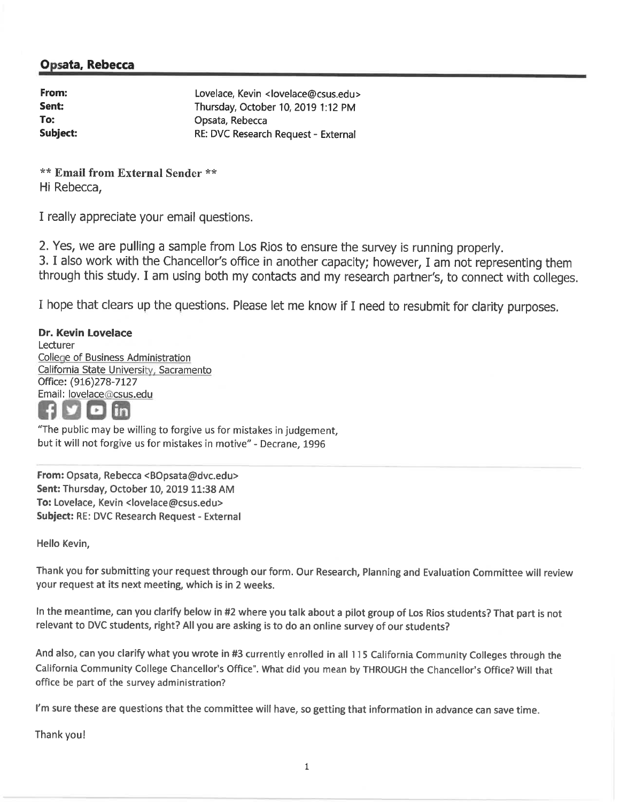## Opsata, Rebecca

| From:    | Lovelace, Kevin <lovelace@csus.edu></lovelace@csus.edu> |
|----------|---------------------------------------------------------|
| Sent:    | Thursday, October 10, 2019 1:12 PM                      |
| To:      | Opsata, Rebecca                                         |
| Subject: | RE: DVC Research Request - External                     |

\*\* Email from External Sender \*\* Hi Rebecca,

I really appreciate your email questions.

2. Yes, we are pulling a sample from Los Rios to ensure the survey is running properly. 3. I also work with the Chancellor's office in another capacity; however, I am not representing them through this study. I am using both my contacts and my research partner's, to connect with colleges.

I hope that clears up the questions. Please let me know if I need to resubmit for clarity purposes.

## **Dr. Kevin Lovelace**

Lecturer College of Business Administration California State University, Sacramento Office: (916)278-7127 Email: lovelace@csus.edu

"The public may be willing to forgive us for mistakes in judgement, but it will not forgive us for mistakes in motive" - Decrane, 1996

From: Opsata, Rebecca <BOpsata@dvc.edu> Sent: Thursday, October 10, 2019 11:38 AM To: Lovelace, Kevin <lovelace@csus.edu> Subject: RE: DVC Research Request - External

Hello Kevin,

Thank you for submitting your request through our form. Our Research, Planning and Evaluation Committee will review your request at its next meeting, which is in 2 weeks.

In the meantime, can you clarify below in #2 where you talk about a pilot group of Los Rios students? That part is not relevant to DVC students, right? All you are asking is to do an online survey of our students?

And also, can you clarify what you wrote in #3 currently enrolled in all 115 California Community Colleges through the California Community College Chancellor's Office". What did you mean by THROUGH the Chancellor's Office? Will that office be part of the survey administration?

I'm sure these are questions that the committee will have, so getting that information in advance can save time.

Thank you!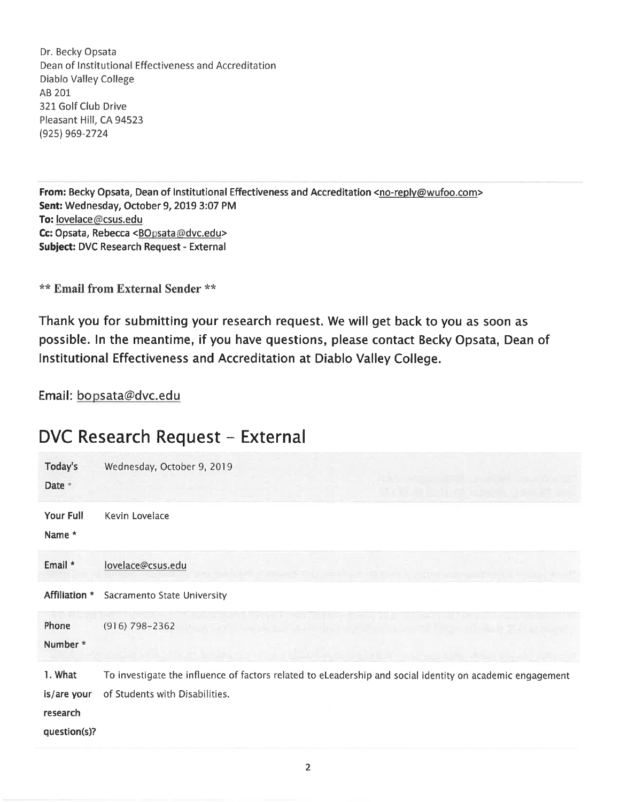Dr. Becky Opsata Dean of Institutional Effectiveness and Accreditation Diablo Valley College AB 201 321 Golf Club Drive Pleasant Hill, CA 94523 (925) 969-2724

From: Becky Opsata, Dean of Institutional Effectiveness and Accreditation <no-reply@wufoo.com> Sent: Wednesday, October 9, 2019 3:07 PM To: lovelace@csus.edu Cc: Opsata, Rebecca <BOpsata@dvc.edu> Subject: DVC Research Request - External

**\*\* Email from External Sender \*\*** 

Thank you for submitting your research request. We will get back to you as soon as possible. In the meantime, if you have questions, please contact Becky Opsata, Dean of Institutional Effectiveness and Accreditation at Diablo Valley College.

Email: bopsata@dvc.edu

# DVC Research Request - External

| Today's<br>Date <sup>*</sup>                       | Wednesday, October 9, 2019                                                                                                                  |
|----------------------------------------------------|---------------------------------------------------------------------------------------------------------------------------------------------|
| Your Full<br>Name *                                | Kevin Lovelace                                                                                                                              |
| Email *                                            | lovelace@csus.edu                                                                                                                           |
| Affiliation *                                      | Sacramento State University                                                                                                                 |
| Phone<br>Number *                                  | $(916) 798 - 2362$                                                                                                                          |
| 1. What<br>is/are your<br>research<br>question(s)? | To investigate the influence of factors related to eLeadership and social identity on academic engagement<br>of Students with Disabilities. |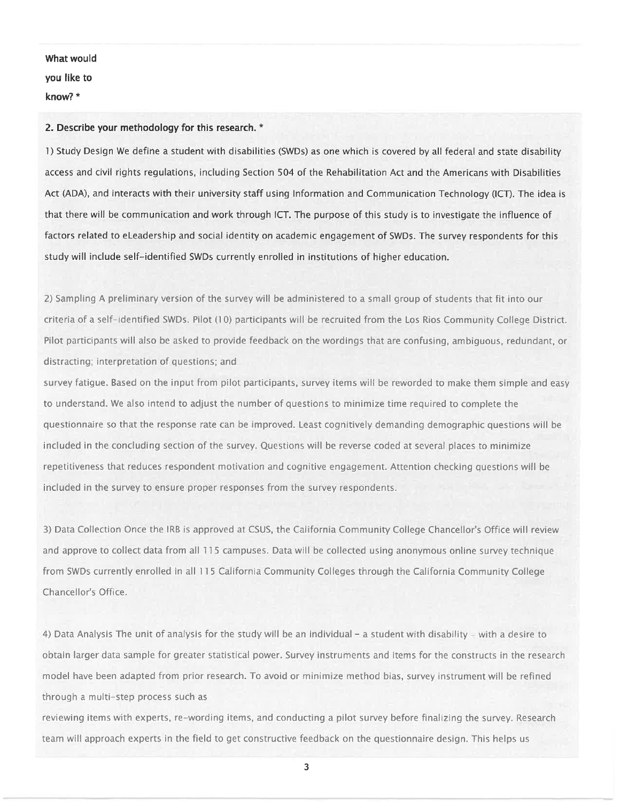# What would you like to know?\*

#### 2. Describe your methodology for this research. \*

1) Study Design We define a student with disabilities (SWDs) as one which is covered by all federal and state disability access and civil rights regulations, including Section 504 of the Rehabilitation Act and the Americans with Disabilities Act (ADA), and interacts with their university staff using Information and Communication Technology (ICT). The idea is that there will be communication and work through ICT. The purpose of this study is to investigate the influence of factors related to eLeadership and social identity on academic engagement of SWDs. The survey respondents for this study will include self-identified SWDs currently enrolled in institutions of higher education.

2) Sampling A preliminary version of the survey will be administered to a small group of students that fit into our criteria of a self-identified SWDs. Pilot (10) participants will be recruited from the Los Rios Community College District. Pilot participants will also be asked to provide feedback on the wordings that are confusing, ambiguous, redundant, or distracting; interpretation of questions; and

survey fatigue. Based on the input from pilot participants, survey items will be reworded to make them simple and easy to understand. We also intend to adjust the number of questions to minimize time required to complete the questionnaire so that the response rate can be improved. Least cognitively demanding demographic questions will be included in the concluding section of the survey. Questions will be reverse coded at several places to minimize repetitiveness that reduces respondent motivation and cognitive engagement. Attention checking questions will be included in the survey to ensure proper responses from the survey respondents.

3) Data Collection Once the IRB is approved at CSUS, the California Community College Chancellor's Office will review and approve to collect data from all 115 campuses. Data will be collected using anonymous online survey technique from SWDs currently enrolled in all 115 California Community Colleges through the California Community College Chancellor's Office.

4) Data Analysis The unit of analysis for the study will be an individual - a student with disability - with a desire to obtain larger data sample for greater statistical power. Survey instruments and items for the constructs in the research model have been adapted from prior research. To avoid or minimize method bias, survey instrument will be refined through a multi-step process such as

reviewing items with experts, re-wording items, and conducting a pilot survey before finalizing the survey. Research team will approach experts in the field to get constructive feedback on the questionnaire design. This helps us

3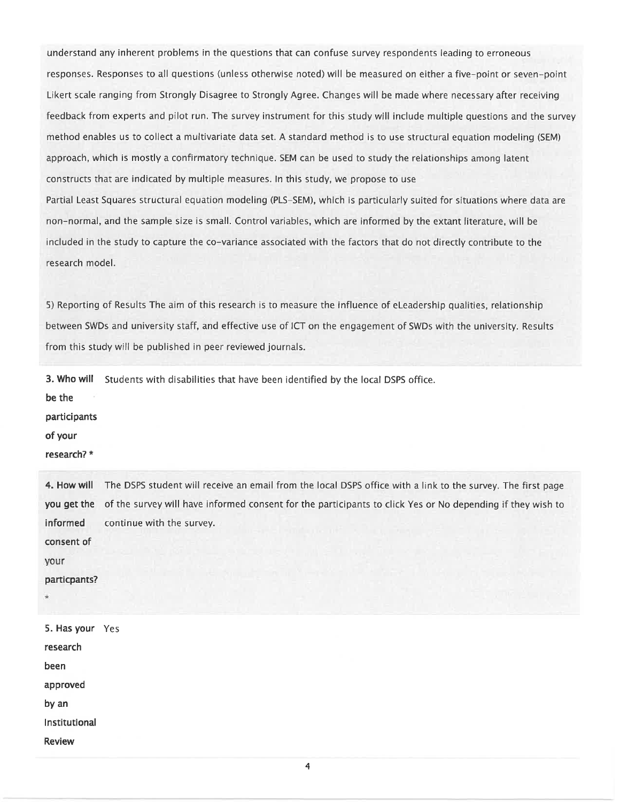understand any inherent problems in the questions that can confuse survey respondents leading to erroneous responses. Responses to all questions (unless otherwise noted) will be measured on either a five-point or seven-point Likert scale ranging from Strongly Disagree to Strongly Agree. Changes will be made where necessary after receiving feedback from experts and pilot run. The survey instrument for this study will include multiple questions and the survey method enables us to collect a multivariate data set. A standard method is to use structural equation modeling (SEM) approach, which is mostly a confirmatory technique. SEM can be used to study the relationships among latent constructs that are indicated by multiple measures. In this study, we propose to use Partial Least Squares structural equation modeling (PLS-SEM), which is particularly suited for situations where data are non-normal, and the sample size is small. Control variables, which are informed by the extant literature, will be included in the study to capture the co-variance associated with the factors that do not directly contribute to the research model.

5) Reporting of Results The aim of this research is to measure the influence of eLeadership qualities, relationship between SWDs and university staff, and effective use of ICT on the engagement of SWDs with the university. Results from this study will be published in peer reviewed journals.

3. Who will Students with disabilities that have been identified by the local DSPS office. be the

participants

of your

research? \*

4. How will The DSPS student will receive an email from the local DSPS office with a link to the survey. The first page you get the of the survey will have informed consent for the participants to click Yes or No depending if they wish to informed continue with the survey. consent of your particpants? 5. Has your Yes research been approved by an Institutional **Review**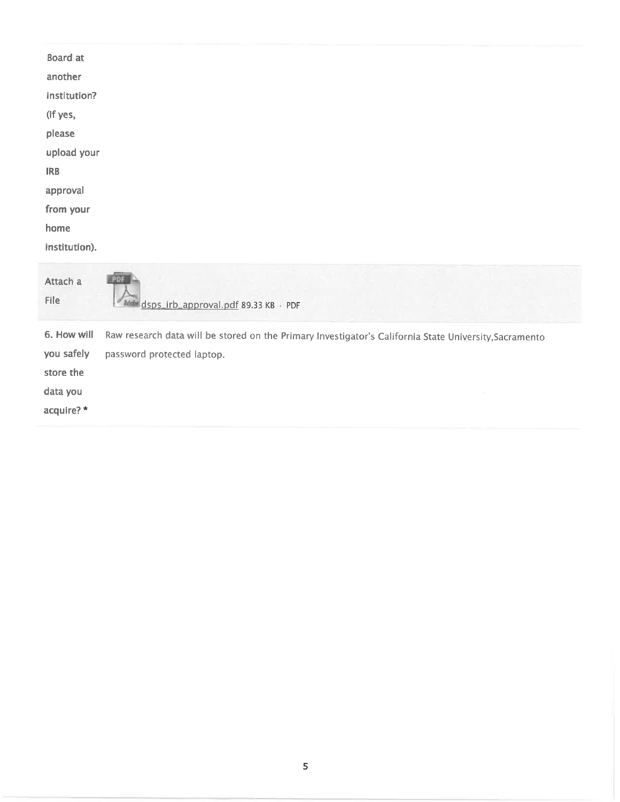| <b>Board</b> at<br>another<br>institution?<br>(If yes,<br>please<br>upload your<br><b>IRB</b><br>approval<br>from your<br>home<br>institution).                                                          |  |
|----------------------------------------------------------------------------------------------------------------------------------------------------------------------------------------------------------|--|
| Attach a<br>File<br>Mobil dsps_irb_approval.pdf 89.33 KB · PDF                                                                                                                                           |  |
| 6. How will<br>Raw research data will be stored on the Primary Investigator's California State University, Sacramento<br>you safely<br>password protected laptop.<br>store the<br>data you<br>acquire? * |  |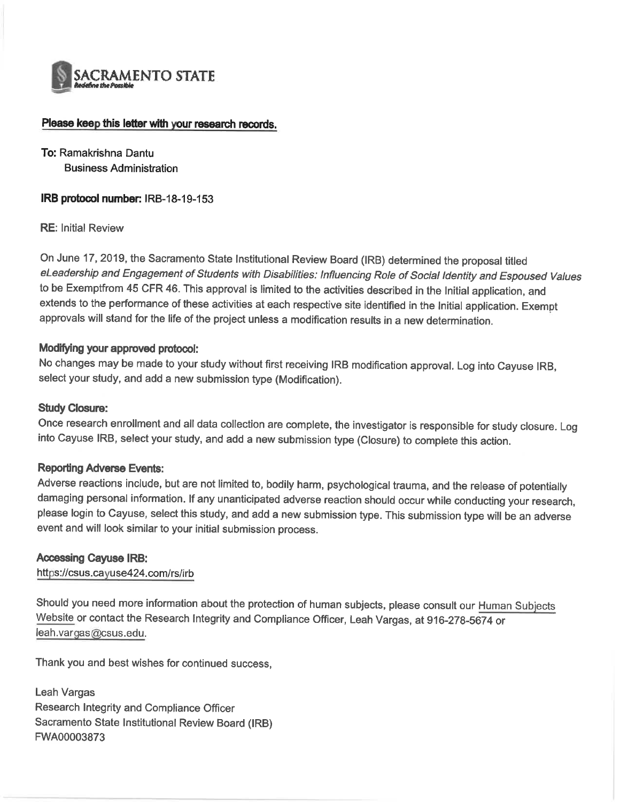

## Please keep this letter with your research records.

**To: Ramakrishna Dantu Business Administration** 

**IRB protocol number: IRB-18-19-153** 

**RE: Initial Review** 

On June 17, 2019, the Sacramento State Institutional Review Board (IRB) determined the proposal titled eLeadership and Engagement of Students with Disabilities: Influencing Role of Social Identity and Espoused Values to be Exemptfrom 45 CFR 46. This approval is limited to the activities described in the Initial application, and extends to the performance of these activities at each respective site identified in the Initial application. Exempt approvals will stand for the life of the project unless a modification results in a new determination.

### Modifying your approved protocol:

No changes may be made to your study without first receiving IRB modification approval. Log into Cayuse IRB, select your study, and add a new submission type (Modification).

#### **Study Closure:**

Once research enrollment and all data collection are complete, the investigator is responsible for study closure. Log into Cayuse IRB, select your study, and add a new submission type (Closure) to complete this action.

#### **Reporting Adverse Events:**

Adverse reactions include, but are not limited to, bodily harm, psychological trauma, and the release of potentially damaging personal information. If any unanticipated adverse reaction should occur while conducting your research, please login to Cayuse, select this study, and add a new submission type. This submission type will be an adverse event and will look similar to your initial submission process.

#### **Accessing Cavuse IRB:**

https://csus.cayuse424.com/rs/irb

Should you need more information about the protection of human subjects, please consult our Human Subjects Website or contact the Research Integrity and Compliance Officer, Leah Vargas, at 916-278-5674 or leah.vargas@csus.edu.

Thank you and best wishes for continued success.

**Leah Vargas** Research Integrity and Compliance Officer Sacramento State Institutional Review Board (IRB) FWA00003873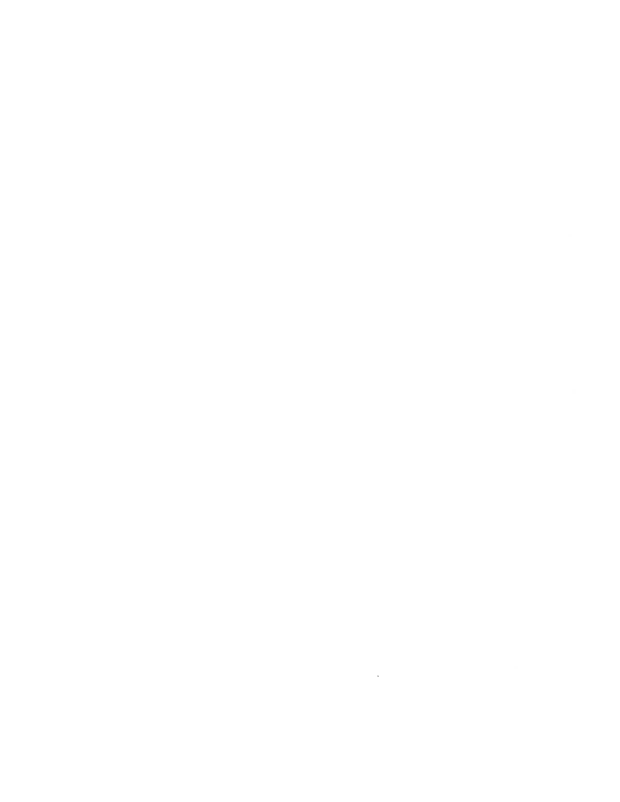$\mathcal{L}^{\text{max}}_{\text{max}}$  , where  $\mathcal{L}^{\text{max}}_{\text{max}}$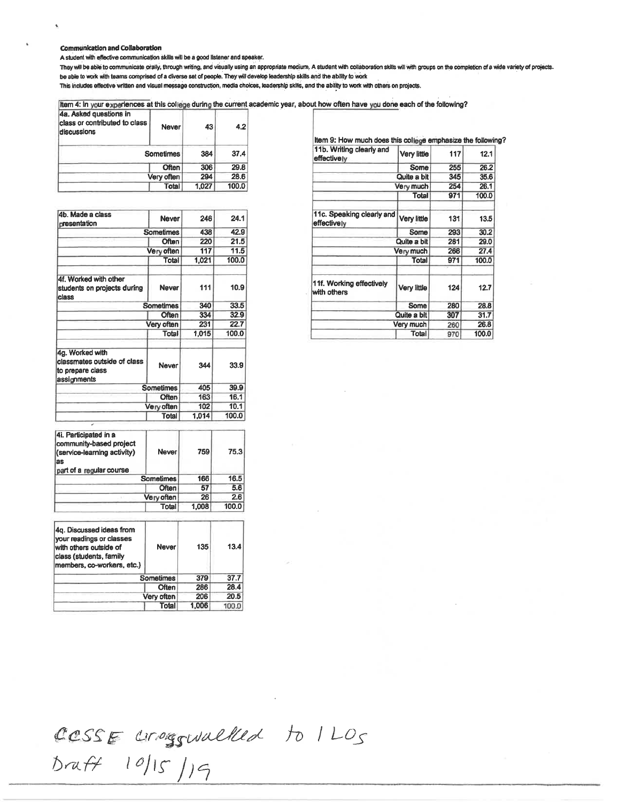#### **Communication and Collaboration**

A student with effective communication skills will be a good listener and speaker.

They will be able to communicate orally, through writing, and visually using an appropriate medium. A student with collaboration skills will with groups on the completion of a wide variety of projects. be able to work with teams comprised of a diverse set of people. They will develop leadership skills and the ability to work

This includes effective written and visual message construction, media choices, leadership skills, and the ability to work with others on projects.

Item 4: In your experiences at this college during the current academic year, about how often have you done each of the following?

| 4a. Asked questions in<br>class or contributed to class<br>discussions | <b>Never</b>     | 43    | 4.2   |
|------------------------------------------------------------------------|------------------|-------|-------|
|                                                                        | <b>Sometimes</b> | 384   | 37.4  |
|                                                                        | <b>Often</b>     | 306   | 29.8  |
| Very often                                                             |                  | 294   | 28.6  |
|                                                                        | Total            | 1,027 | 100.0 |

| 4b. Made a class                                                                                                                        | Never            | 246   | 24.1  |
|-----------------------------------------------------------------------------------------------------------------------------------------|------------------|-------|-------|
| presentation                                                                                                                            |                  |       |       |
|                                                                                                                                         | <b>Sometimes</b> | 438   | 42.9  |
|                                                                                                                                         | Often            | 220   | 21.5  |
|                                                                                                                                         | Very often       | 117   | 11.5  |
|                                                                                                                                         | <b>Total</b>     | 1,021 | 100.0 |
| 4f. Worked with other<br>students on projects during<br>class                                                                           | Never            | 111   | 10.9  |
|                                                                                                                                         | <b>Sometimes</b> | 340   | 33.5  |
|                                                                                                                                         | Often            | 334   | 32.9  |
|                                                                                                                                         | Very often       | 231   | 22.7  |
|                                                                                                                                         | Total            | 1,015 | 100.0 |
| 4g. Worked with<br>classmates outside of class<br>to prepare class<br>assignments                                                       | Never            | 344   | 33.9  |
|                                                                                                                                         | <b>Sometimes</b> | 405   | 39.9  |
|                                                                                                                                         | Often            | 163   | 16.1  |
|                                                                                                                                         | Very often       | 102   | 10.1  |
|                                                                                                                                         | <b>Total</b>     | 1,014 | 100.0 |
| 4i. Participated in a<br>community-based project<br>(service-learning activity)<br>as<br>part of a regular course                       | Never            | 759   | 75.3  |
|                                                                                                                                         | <b>Sometimes</b> | 166   | 16.5  |
|                                                                                                                                         | Often            | 57    | 5.6   |
|                                                                                                                                         | Very often       | 26    | 2.6   |
|                                                                                                                                         | Total            | 1,008 | 100.0 |
| 4g. Discussed ideas from<br>your readings or classes<br>with others outside of<br>class (students, family<br>members, co-workers, etc.) | Never            | 135   | 13.4  |
|                                                                                                                                         | <b>Sometimes</b> | 379   | 37.7  |
|                                                                                                                                         | Often            | 286   | 28.4  |
|                                                                                                                                         | Very often       | 206   | 20.5  |
|                                                                                                                                         | Total            | 1,006 | 100.0 |

| 11b. Writing clearly and<br>effectively                                              | <b>Very little</b> | 117  | 12.1  |
|--------------------------------------------------------------------------------------|--------------------|------|-------|
|                                                                                      | Some               | 255  | 26.2  |
|                                                                                      | Quite a bit        | 345  | 35.6  |
|                                                                                      | Very much          | 254  | 26.1  |
|                                                                                      | <b>Total</b>       | 971  | 100.0 |
| 11c. Speaking clearly and<br>effectively                                             | <b>Very little</b> | 131  | 13.5  |
|                                                                                      | Some               | 293  | 30.2  |
|                                                                                      | Quite a bit        | 281  | 29.0  |
|                                                                                      | Very much          | 266  | 27.4  |
|                                                                                      | Total              | 971  | 100.0 |
| 11f. Working effectively<br><b>Very little</b><br>with others<br>Some<br>Quite a bit |                    | 124  | 12.7  |
|                                                                                      |                    | 280  | 28.8  |
|                                                                                      | 307                | 31.7 |       |
|                                                                                      | Very much          | 260  | 26.8  |
|                                                                                      | Total              | 970  | 100.0 |

Item 9: How much does this college emphasize the following?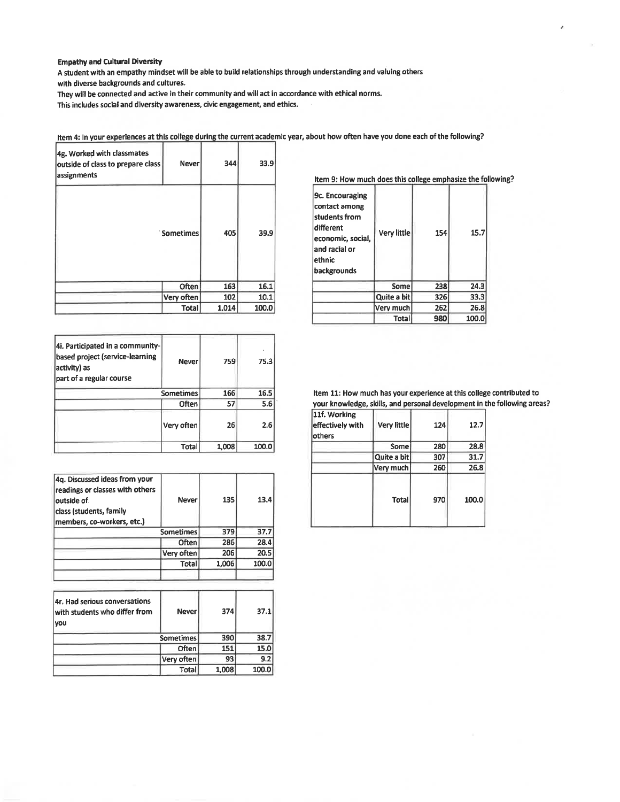#### **Empathy and Cultural Diversity**

A student with an empathy mindset will be able to build relationships through understanding and valuing others

with diverse backgrounds and cultures.

They will be connected and active in their community and will act in accordance with ethical norms.

This includes social and diversity awareness, civic engagement, and ethics.

Item 4: In your experiences at this college during the current academic year, about how often have you done each of the following?

| 4g. Worked with classmates<br>outside of class to prepare class<br>assignments | <b>Never</b> | 344   | 33.9  |
|--------------------------------------------------------------------------------|--------------|-------|-------|
|                                                                                | Sometimes    | 405   | 39.9  |
|                                                                                | Often        | 163   | 16.1  |
|                                                                                | Very often   | 102   | 10.1  |
|                                                                                | <b>Total</b> | 1,014 | 100.0 |

| 4i. Participated in a community-<br>based project (service-learning<br>activity) as<br>part of a regular course | Never            | 759   | 75.3  |
|-----------------------------------------------------------------------------------------------------------------|------------------|-------|-------|
|                                                                                                                 | <b>Sometimes</b> | 166   | 16.5  |
|                                                                                                                 | Often            | 57    | 5.6   |
|                                                                                                                 | Very often       | 26    | 2.6   |
|                                                                                                                 | Total            | 1,008 | 100.0 |

| 4q. Discussed ideas from your<br>readings or classes with others<br>loutside of<br>class (students, family<br>members, co-workers, etc.) | <b>Never</b>     | 135   | 13.4  |
|------------------------------------------------------------------------------------------------------------------------------------------|------------------|-------|-------|
|                                                                                                                                          | <b>Sometimes</b> | 379   | 37.7  |
|                                                                                                                                          | Often            | 286   | 28.4  |
|                                                                                                                                          | Very often       | 206   | 20.5  |
|                                                                                                                                          | <b>Total</b>     | 1,006 | 100.0 |
|                                                                                                                                          |                  |       |       |

| 4r. Had serious conversations<br>with students who differ from<br> you | <b>Never</b>     | 374   | 37.1  |
|------------------------------------------------------------------------|------------------|-------|-------|
|                                                                        | <b>Sometimes</b> | 390   | 38.7  |
|                                                                        | Often            | 151   | 15.0  |
|                                                                        | Very often       | 93    | 9.2   |
|                                                                        | Total            | 1,008 | 100.0 |

Item 9: How much does this college emphasize the following?

| 9c. Encouraging<br>contact among<br>students from<br>different<br>economic, social,<br>and racial or<br>lethnic<br>backgrounds | Very little | 154 | 15.7  |
|--------------------------------------------------------------------------------------------------------------------------------|-------------|-----|-------|
|                                                                                                                                | Some        | 238 | 24.3  |
|                                                                                                                                | Quite a bit | 326 | 33.3  |
|                                                                                                                                | Very much   | 262 | 26.8  |
|                                                                                                                                | Total       | 980 | 100.0 |

Item 11: How much has your experience at this college contributed to your knowledge, skills, and personal development in the following areas?

| 11f. Working<br>effectively with<br>others | Very little | 124 | 12.7  |
|--------------------------------------------|-------------|-----|-------|
|                                            | Some        | 280 | 28.8  |
|                                            | Quite a bit | 307 | 31.7  |
|                                            | Very much   | 260 | 26.8  |
|                                            | Total       | 970 | 100.0 |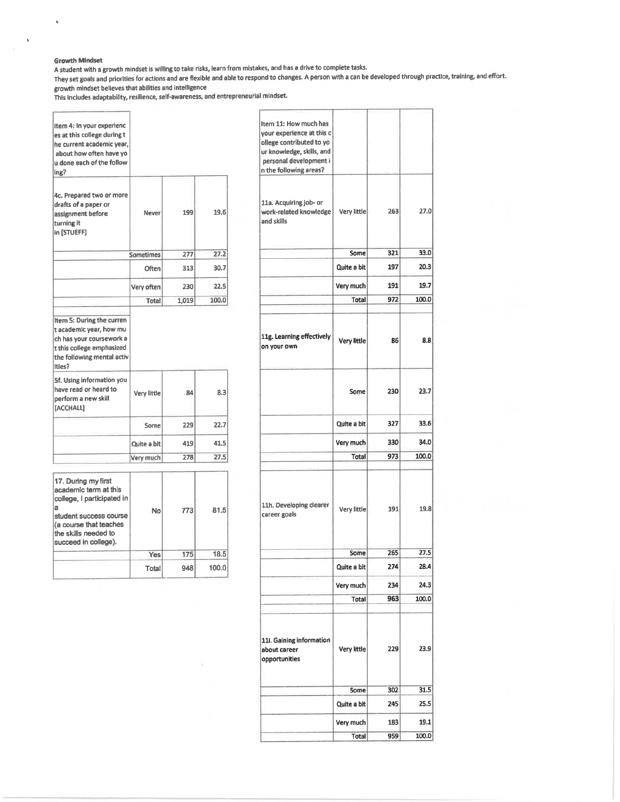#### **Growth Mindset**

ı,

A student with a growth mindset is willing to take risks, learn from mistakes, and has a drive to complete tasks.

They set goals and priorities for actions and are flexible and able to respond to changes. A person with a can be developed through practice, training, and effort. growth mindset believes that abilities and intelligence

 $27.0$ 

19.1

 $100.0$ 

183

959

Very much

Total

This includes adaptability, resilience, self-awareness, and entrepreneurial mindset.

| item 4: In your experienc<br>es at this college during t<br>he current academic year,<br>about how often have yo<br>u done each of the follow<br>ing?                               |                  |       |       | Item 11: How much has<br>your experience at this c<br>ollege contributed to yo<br>ur knowledge, skills, and<br>personal development i<br>n the following areas? |              |     |       |
|-------------------------------------------------------------------------------------------------------------------------------------------------------------------------------------|------------------|-------|-------|-----------------------------------------------------------------------------------------------------------------------------------------------------------------|--------------|-----|-------|
| 4c. Prepared two or more<br>drafts of a paper or<br>assignment before<br>turning it<br>in [STUEFF]                                                                                  | Never            | 199   | 19.6  | 11a. Acquiring job- or<br>work-related knowledge<br>and skills                                                                                                  | Very little  | 263 | 27.0  |
|                                                                                                                                                                                     | <b>Sometimes</b> | 277   | 27.2  |                                                                                                                                                                 | Some         | 321 | 33.0  |
|                                                                                                                                                                                     | Often            | 313   | 30.7  |                                                                                                                                                                 | Quite a bit  | 197 | 20.3  |
|                                                                                                                                                                                     | Very often       | 230   | 22.5  |                                                                                                                                                                 | Very much    | 191 | 19.7  |
|                                                                                                                                                                                     | Total            | 1,019 | 100.0 |                                                                                                                                                                 | Total        | 972 | 100.0 |
| Item 5: During the curren<br>t academic year, how mu<br>ch has your coursework a<br>t this college emphasized<br>the following mental activ<br>ities?                               |                  |       |       | 11g. Learning effectively<br>on your own                                                                                                                        | Very little  | 86  | 8.8   |
| 5f. Using information you<br>have read or heard to<br>perform a new skill<br>[ACCHALL]                                                                                              | Very little      | $-84$ | 8.3   |                                                                                                                                                                 | Some         | 230 | 23.7  |
|                                                                                                                                                                                     | Some             | 229   | 22.7  |                                                                                                                                                                 | Quite a bit  | 327 | 33.6  |
|                                                                                                                                                                                     | Quite a bit      | 419   | 41.5  |                                                                                                                                                                 | Very much    | 330 | 34.0  |
|                                                                                                                                                                                     | Very much        | 278   | 27.5  |                                                                                                                                                                 | Total        | 973 | 100.0 |
| 17. During my first<br>academic term at this<br>college, I participated in<br>a<br>student success course<br>(a course that teaches<br>the skills needed to<br>succeed in college). | No               | 773   | 81.5  | 11h. Developing clearer<br>career goals                                                                                                                         | Very little  | 191 | 19.8  |
|                                                                                                                                                                                     | Yes              | 175   | 18.5  |                                                                                                                                                                 | Some         | 265 | 27.5  |
|                                                                                                                                                                                     | Totai∣           | 948   | 100.0 |                                                                                                                                                                 | Quite a bit  | 274 | 28.4  |
|                                                                                                                                                                                     |                  |       |       |                                                                                                                                                                 | Very much    | 234 | 24.3  |
|                                                                                                                                                                                     |                  |       |       |                                                                                                                                                                 | <b>Total</b> | 963 | 100.0 |
|                                                                                                                                                                                     |                  |       |       | 11i. Gaining information<br>about career<br>opportunities                                                                                                       | Very little  | 229 | 23.9  |
|                                                                                                                                                                                     |                  |       |       |                                                                                                                                                                 | Some         | 302 | 31.5  |
|                                                                                                                                                                                     |                  |       |       |                                                                                                                                                                 | Quite a bit  | 245 | 25.5  |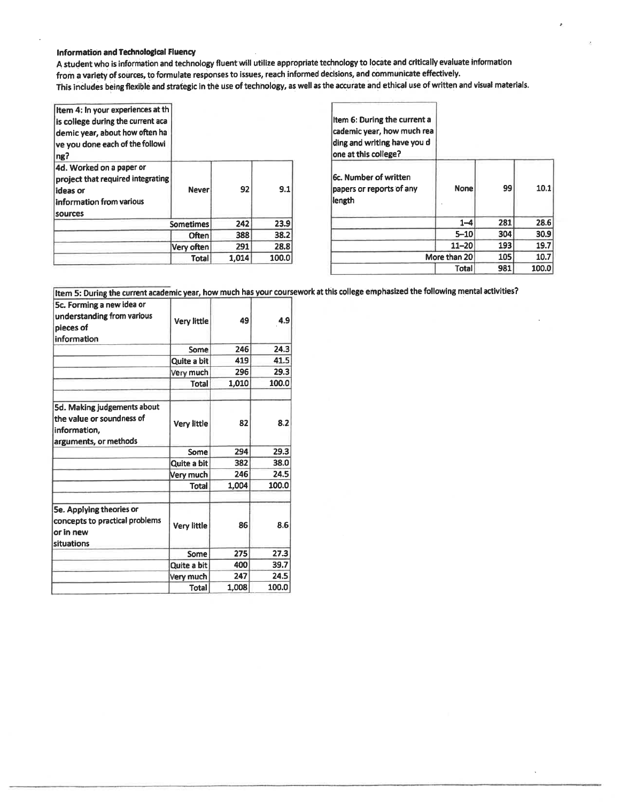#### Information and Technological Fluency

A student who is information and technology fluent will utilize appropriate technology to locate and critically evaluate information from a variety of sources, to formulate responses to issues, reach informed decisions, and communicate effectively. This includes being flexible and strategic in the use of technology, as well as the accurate and ethical use of written and visual materials.

| Item 4: In your experiences at th<br>is college during the current aca<br>demic year, about how often ha<br>ve you done each of the followi<br>ng? |                  |       |       |
|----------------------------------------------------------------------------------------------------------------------------------------------------|------------------|-------|-------|
| 4d. Worked on a paper or<br>project that required integrating<br>lideas or<br>linformation from various<br>sources                                 | <b>Never</b>     | 92    | 9.1   |
|                                                                                                                                                    | <b>Sometimes</b> | 242   | 23.9  |
|                                                                                                                                                    | Often            | 388   | 38.2  |
|                                                                                                                                                    | Very often       | 291   | 28.8  |
|                                                                                                                                                    | Total            | 1,014 | 100.0 |

| Item 6: During the current a<br>cademic year, how much rea<br>ding and writing have you d<br>one at this college? |              |     |       |
|-------------------------------------------------------------------------------------------------------------------|--------------|-----|-------|
| 6c. Number of written<br>papers or reports of any<br>length                                                       | <b>None</b>  | 99  | 10.1  |
|                                                                                                                   | $1 - 4$      | 281 | 28.6  |
|                                                                                                                   | $5 - 10$     | 304 | 30.9  |
|                                                                                                                   | $11 - 20$    | 193 | 19.7  |
|                                                                                                                   | More than 20 | 105 | 10.7  |
|                                                                                                                   | Total        | 981 | 100.0 |

Item 5: During the current academic year, how much has your coursework at this college emphasized the following mental activities?

| 5c. Forming a new idea or<br>understanding from various<br>pieces of<br>information               | <b>Very little</b> | 49    | 4.9   |
|---------------------------------------------------------------------------------------------------|--------------------|-------|-------|
|                                                                                                   | Some               | 246   | 24.3  |
|                                                                                                   | Quite a bit        | 419   | 41.5  |
|                                                                                                   | Very much          | 296   | 29.3  |
|                                                                                                   | <b>Total</b>       | 1,010 | 100.0 |
| 5d. Making judgements about<br>the value or soundness of<br>information,<br>arguments, or methods | Very little        | 82    | 8.2   |
|                                                                                                   | Some               | 294   | 29.3  |
|                                                                                                   | Quite a bit        | 382   | 38.0  |
|                                                                                                   | Very much          | 246   | 24.5  |
|                                                                                                   | <b>Total</b>       | 1,004 | 100.0 |
| 5e. Applying theories or<br>concepts to practical problems<br>or in new<br>situations             | Very little        | 86    | 8.6   |
|                                                                                                   | <b>Some</b>        | 275   | 27.3  |
|                                                                                                   | Quite a bit        | 400   | 39.7  |
|                                                                                                   | Very much          | 247   | 24.5  |
|                                                                                                   | <b>Total</b>       | 1,008 | 100.0 |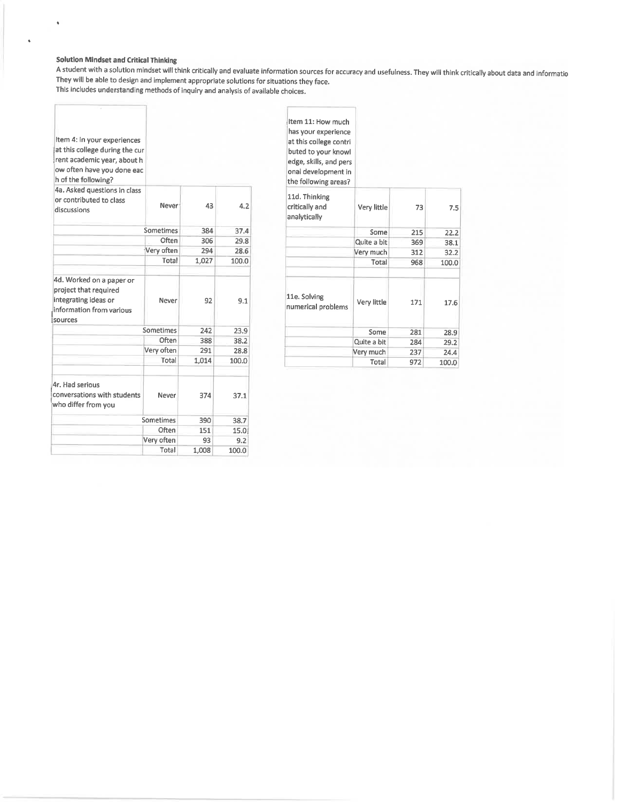#### **Solution Mindset and Critical Thinking**

7

 $\hat{\mathbf{u}}$ 

 $\ddot{\phantom{a}}$ 

A student with a solution mindset will think critically and evaluate information sources for accuracy and usefulness. They will think critically about data and informatio They will be able to design and implement appropriate solutions for situations they face. This includes understanding methods of inquiry and analysis of available choices.

Item 11: How much

| Item 4: In your experiences<br>at this college during the cur<br>rent academic year, about h<br>ow often have you done eac<br>h of the following? |            |       |       |
|---------------------------------------------------------------------------------------------------------------------------------------------------|------------|-------|-------|
| 4a. Asked questions in class<br>or contributed to class<br>discussions                                                                            | Never      | 43    | 4.2   |
|                                                                                                                                                   | Sometimes  | 384   | 37.4  |
|                                                                                                                                                   | Often      | 306   | 29.8  |
|                                                                                                                                                   | Very often | 294   | 28.6  |
|                                                                                                                                                   | Total      | 1,027 | 100.0 |
| 4d. Worked on a paper or<br>project that required<br>integrating ideas or<br>information from various<br>sources                                  | Never      | 92    | 9.1   |
|                                                                                                                                                   | Sometimes  | 242   | 23.9  |
|                                                                                                                                                   | Often      | 388   | 38.2  |
|                                                                                                                                                   | Very often | 291   | 28.8  |
|                                                                                                                                                   | Total      | 1,014 | 100.0 |
| 4r. Had serious<br>conversations with students<br>who differ from you                                                                             | Never      | 374   | 37.1  |
|                                                                                                                                                   | Sometimes  | 390   | 38.7  |
|                                                                                                                                                   | Often      | 151   | 15.0  |
|                                                                                                                                                   | Very often | 93    | 9.2   |
|                                                                                                                                                   | Total      | 1,008 | 100.0 |

| has your experience<br>at this college contri<br>buted to your knowl<br>edge, skills, and pers<br>onal development in<br>the following areas? |             |     |       |
|-----------------------------------------------------------------------------------------------------------------------------------------------|-------------|-----|-------|
| 11d. Thinking<br>critically and<br>analytically                                                                                               | Very little | 73  | 7.5   |
|                                                                                                                                               | Some        | 215 | 22.2  |
|                                                                                                                                               | Quite a bit | 369 | 38.1  |
|                                                                                                                                               | Very much   | 312 | 32.2  |
|                                                                                                                                               | Total       | 968 | 100.0 |
| 11e. Solving<br>numerical problems                                                                                                            | Very little | 171 | 17.6  |
|                                                                                                                                               | Some        | 281 | 28.9  |
|                                                                                                                                               | Quite a bit | 284 | 29.2  |
|                                                                                                                                               | Very much   | 237 | 24.4  |
|                                                                                                                                               | Total       | 972 | 100.0 |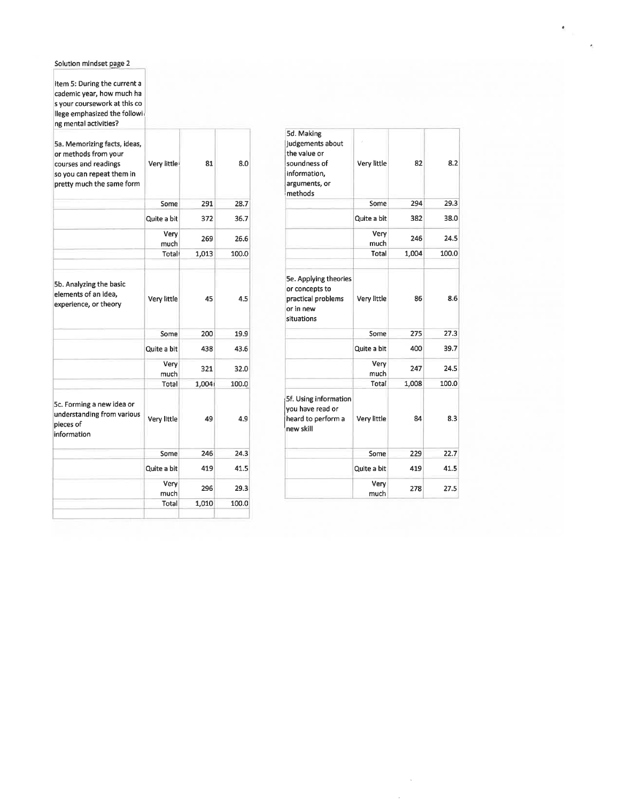#### Solution mindset page 2

Item 5: During the current a cademic year, how much has<br>s your coursework at this co lege emphasized the following mental activities?

| 5a. Memorizing facts, ideas,<br>or methods from your<br>courses and readings<br>so you can repeat them in<br>pretty much the same form | Very little  | 81    | 8.0   |
|----------------------------------------------------------------------------------------------------------------------------------------|--------------|-------|-------|
|                                                                                                                                        | Some         | 291   | 28.7  |
|                                                                                                                                        | Quite a bit  | 372   | 36.7  |
|                                                                                                                                        | Very<br>much | 269   | 26.6  |
|                                                                                                                                        | Total        | 1,013 | 100.0 |
| 5b. Analyzing the basic<br>elements of an idea,<br>experience, or theory                                                               | Very little  | 45    | 4.5   |
|                                                                                                                                        | Some         | 200   | 19.9  |
|                                                                                                                                        | Quite a bit  | 438   | 43.6  |
|                                                                                                                                        | Very<br>much | 321   | 32.0  |
|                                                                                                                                        | Total        | 1,004 | 100.0 |
| 5c. Forming a new idea or<br>understanding from various<br>pieces of<br>information                                                    | Very little  | 49    | 4.9   |
|                                                                                                                                        | Some         | 246   | 24.3  |
|                                                                                                                                        | Quite a bit  | 419   | 41.5  |
|                                                                                                                                        | Verv<br>much | 296   | 29.3  |
|                                                                                                                                        | Total        | 1,010 | 100.0 |

| 5d. Making<br>judgements about<br>the value or<br>soundness of<br>information,<br>arguments, or<br>methods | Very little  | 82    | 8.2   |
|------------------------------------------------------------------------------------------------------------|--------------|-------|-------|
|                                                                                                            | Some         | 294   | 29.3  |
|                                                                                                            | Quite a bit  | 382   | 38.0  |
|                                                                                                            | Very<br>much | 246   | 24.5  |
|                                                                                                            | Total        | 1,004 | 100.0 |
| 5e. Applying theories<br>or concepts to<br>practical problems<br>or in new<br>situations                   | Very little  | 86    | 8.6   |
|                                                                                                            | Some         | 275   | 27.3  |
|                                                                                                            | Quite a bit  | 400   | 39.7  |
|                                                                                                            | Very<br>much | 247   | 24.5  |
|                                                                                                            | Total        | 1,008 | 100.0 |
| 5f. Using information<br>vou have read or<br>heard to perform a<br>new skill                               | Very little  | 84    | 8.3   |
|                                                                                                            | Some         | 229   | 22.7  |
|                                                                                                            | Quite a bit  | 419   | 41.5  |
|                                                                                                            | Very<br>much | 278   | 27.5  |

 $\bar{z}$ 

 $\pmb{\epsilon}$ 

 $\overline{\phantom{a}}$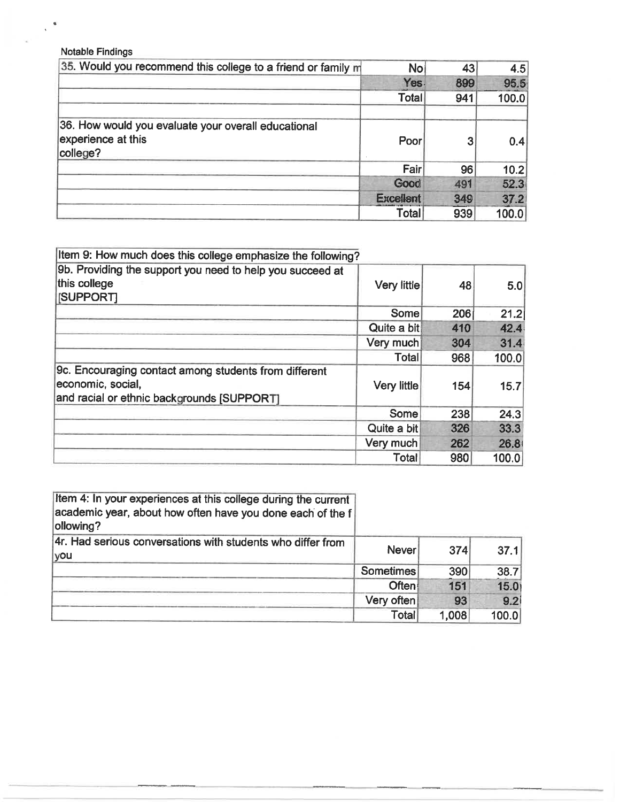### **Notable Findings**

 $\ddot{\phantom{a}}$ 

| 35. Would you recommend this college to a friend or family m                          | <b>No</b>        | 43  | 4.5   |
|---------------------------------------------------------------------------------------|------------------|-----|-------|
|                                                                                       | Yes.             | 899 | 95.5  |
|                                                                                       | <b>Total</b>     | 941 | 100.0 |
| 36. How would you evaluate your overall educational<br>experience at this<br>college? | Poor             | 3   | 0.4   |
|                                                                                       | Fair             | 96  | 10.2  |
|                                                                                       | Good             | 491 | 52.3  |
|                                                                                       | <b>Excellent</b> | 349 | 37.2  |
|                                                                                       | <b>Total</b>     | 939 | 100.0 |

| Item 9: How much does this college emphasize the following?                                                              |                    |     |       |
|--------------------------------------------------------------------------------------------------------------------------|--------------------|-----|-------|
| 9b. Providing the support you need to help you succeed at<br>this college<br><b>ISUPPORTI</b>                            | <b>Very little</b> | 48  | 5.0   |
|                                                                                                                          | Some               | 206 | 21.2  |
|                                                                                                                          | Quite a bit        | 410 | 42.4  |
|                                                                                                                          | Very much          | 304 | 31.4  |
|                                                                                                                          | <b>Total</b>       | 968 | 100.0 |
| 9c. Encouraging contact among students from different<br>economic, social,<br>and racial or ethnic backgrounds [SUPPORT] | <b>Very little</b> | 154 | 15.7  |
|                                                                                                                          | Some               | 238 | 24.3  |
|                                                                                                                          | Quite a bit        | 326 | 33.3  |
|                                                                                                                          | Very much          | 262 | 26.8  |
|                                                                                                                          | Total              | 980 | 100.0 |

| Item 4: In your experiences at this college during the current<br>academic year, about how often have you done each of the f<br>ollowing? |                  |       |       |
|-------------------------------------------------------------------------------------------------------------------------------------------|------------------|-------|-------|
| 4r. Had serious conversations with students who differ from<br><b>you</b>                                                                 | Never            | 374   | 37.1  |
|                                                                                                                                           | <b>Sometimes</b> | 390   | 38.7  |
|                                                                                                                                           | Often            | 151   | 15.0  |
|                                                                                                                                           | Very often       | 93    | 9.2   |
|                                                                                                                                           | Total            | 1,008 | 100.0 |